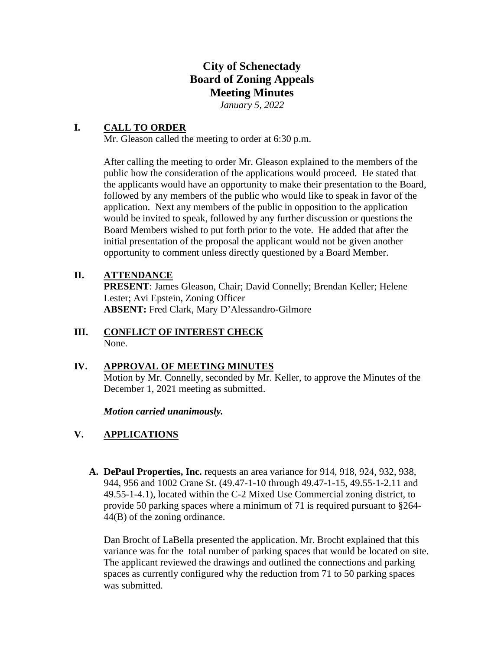# **City of Schenectady Board of Zoning Appeals Meeting Minutes**  *January 5, 2022*

# **I. CALL TO ORDER**

Mr. Gleason called the meeting to order at 6:30 p.m.

After calling the meeting to order Mr. Gleason explained to the members of the public how the consideration of the applications would proceed. He stated that the applicants would have an opportunity to make their presentation to the Board, followed by any members of the public who would like to speak in favor of the application. Next any members of the public in opposition to the application would be invited to speak, followed by any further discussion or questions the Board Members wished to put forth prior to the vote. He added that after the initial presentation of the proposal the applicant would not be given another opportunity to comment unless directly questioned by a Board Member.

# **II. ATTENDANCE**

**PRESENT**: James Gleason, Chair; David Connelly; Brendan Keller; Helene Lester; Avi Epstein, Zoning Officer **ABSENT:** Fred Clark, Mary D'Alessandro-Gilmore

## **III. CONFLICT OF INTEREST CHECK**  None.

## **IV. APPROVAL OF MEETING MINUTES**

Motion by Mr. Connelly, seconded by Mr. Keller, to approve the Minutes of the December 1, 2021 meeting as submitted.

*Motion carried unanimously.* 

# **V. APPLICATIONS**

**A. DePaul Properties, Inc.** requests an area variance for 914, 918, 924, 932, 938, 944, 956 and 1002 Crane St. (49.47-1-10 through 49.47-1-15, 49.55-1-2.11 and 49.55-1-4.1), located within the C-2 Mixed Use Commercial zoning district, to provide 50 parking spaces where a minimum of 71 is required pursuant to §264- 44(B) of the zoning ordinance.

Dan Brocht of LaBella presented the application. Mr. Brocht explained that this variance was for the total number of parking spaces that would be located on site. The applicant reviewed the drawings and outlined the connections and parking spaces as currently configured why the reduction from 71 to 50 parking spaces was submitted.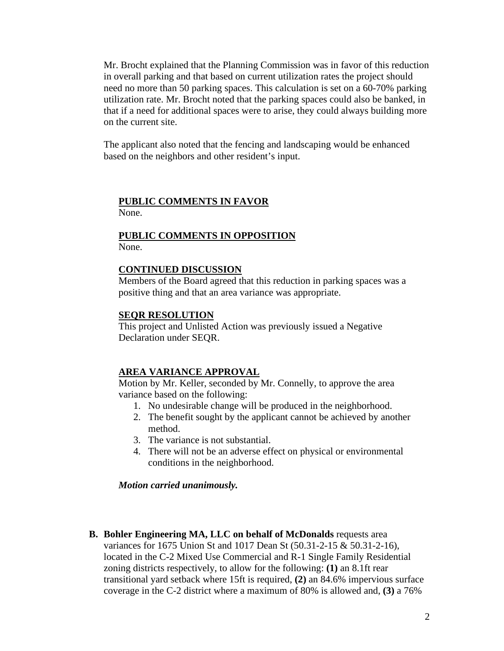Mr. Brocht explained that the Planning Commission was in favor of this reduction in overall parking and that based on current utilization rates the project should need no more than 50 parking spaces. This calculation is set on a 60-70% parking utilization rate. Mr. Brocht noted that the parking spaces could also be banked, in that if a need for additional spaces were to arise, they could always building more on the current site.

The applicant also noted that the fencing and landscaping would be enhanced based on the neighbors and other resident's input.

#### **PUBLIC COMMENTS IN FAVOR**

None.

### **PUBLIC COMMENTS IN OPPOSITION**  None.

#### **CONTINUED DISCUSSION**

Members of the Board agreed that this reduction in parking spaces was a positive thing and that an area variance was appropriate.

#### **SEQR RESOLUTION**

This project and Unlisted Action was previously issued a Negative Declaration under SEQR.

### **AREA VARIANCE APPROVAL**

Motion by Mr. Keller, seconded by Mr. Connelly, to approve the area variance based on the following:

- 1. No undesirable change will be produced in the neighborhood.
- 2. The benefit sought by the applicant cannot be achieved by another method.
- 3. The variance is not substantial.
- 4. There will not be an adverse effect on physical or environmental conditions in the neighborhood.

#### *Motion carried unanimously.*

#### **B. Bohler Engineering MA, LLC on behalf of McDonalds** requests area

variances for 1675 Union St and 1017 Dean St (50.31-2-15 & 50.31-2-16), located in the C-2 Mixed Use Commercial and R-1 Single Family Residential zoning districts respectively, to allow for the following: **(1)** an 8.1ft rear transitional yard setback where 15ft is required, **(2)** an 84.6% impervious surface coverage in the C-2 district where a maximum of 80% is allowed and, **(3)** a 76%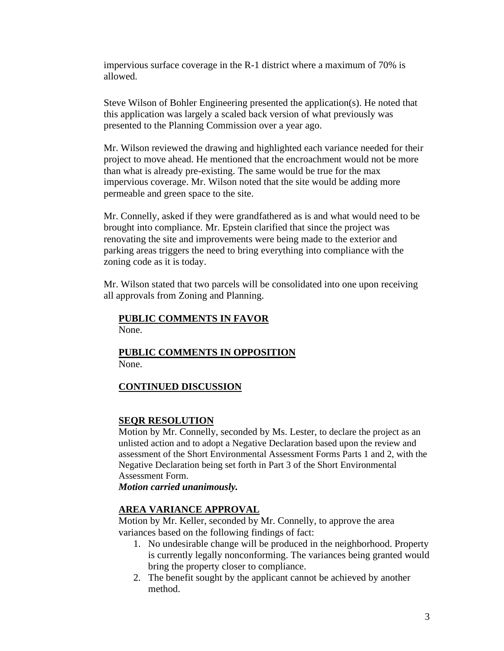impervious surface coverage in the R-1 district where a maximum of 70% is allowed.

Steve Wilson of Bohler Engineering presented the application(s). He noted that this application was largely a scaled back version of what previously was presented to the Planning Commission over a year ago.

Mr. Wilson reviewed the drawing and highlighted each variance needed for their project to move ahead. He mentioned that the encroachment would not be more than what is already pre-existing. The same would be true for the max impervious coverage. Mr. Wilson noted that the site would be adding more permeable and green space to the site.

Mr. Connelly, asked if they were grandfathered as is and what would need to be brought into compliance. Mr. Epstein clarified that since the project was renovating the site and improvements were being made to the exterior and parking areas triggers the need to bring everything into compliance with the zoning code as it is today.

Mr. Wilson stated that two parcels will be consolidated into one upon receiving all approvals from Zoning and Planning.

# **PUBLIC COMMENTS IN FAVOR**

None.

## **PUBLIC COMMENTS IN OPPOSITION**  None.

## **CONTINUED DISCUSSION**

## **SEQR RESOLUTION**

Motion by Mr. Connelly, seconded by Ms. Lester, to declare the project as an unlisted action and to adopt a Negative Declaration based upon the review and assessment of the Short Environmental Assessment Forms Parts 1 and 2, with the Negative Declaration being set forth in Part 3 of the Short Environmental Assessment Form.

*Motion carried unanimously.* 

## **AREA VARIANCE APPROVAL**

Motion by Mr. Keller, seconded by Mr. Connelly, to approve the area variances based on the following findings of fact:

- 1. No undesirable change will be produced in the neighborhood. Property is currently legally nonconforming. The variances being granted would bring the property closer to compliance.
- 2. The benefit sought by the applicant cannot be achieved by another method.